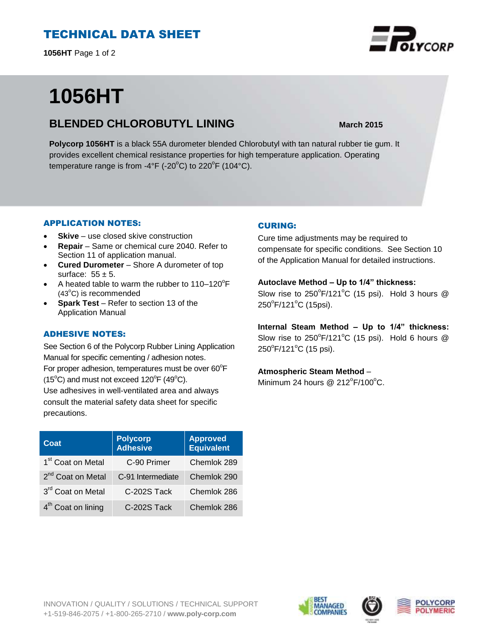# TECHNICAL DATA SHEET

**1056HT** Page 1 of 2

# **1056HT**

### **BLENDED CHLOROBUTYL LINING March 2015**

**Polycorp 1056HT** is a black 55A durometer blended Chlorobutyl with tan natural rubber tie gum. It provides excellent chemical resistance properties for high temperature application. Operating temperature range is from -4°F (-20 $^{\circ}$ C) to 220 $^{\circ}$ F (104 $^{\circ}$ C).

#### APPLICATION NOTES:

- **Skive** use closed skive construction
- **Repair**  Same or chemical cure 2040. Refer to Section 11 of application manual.
- **Cured Durometer**  Shore A durometer of top surface:  $55 \pm 5$ .
- A heated table to warm the rubber to  $110-120^{\circ}F$  $(43^{\circ}C)$  is recommended
- **Spark Test** Refer to section 13 of the Application Manual

#### ADHESIVE NOTES:

See Section 6 of the Polycorp Rubber Lining Application Manual for specific cementing / adhesion notes. For proper adhesion, temperatures must be over  $60^{\circ}$ F  $(15^{\circ}C)$  and must not exceed  $120^{\circ}F(49^{\circ}C)$ . Use adhesives in well-ventilated area and always

consult the material safety data sheet for specific precautions.

| Coat                           | <b>Polycorp</b><br><b>Adhesive</b> | <b>Approved</b><br>Equivalent |
|--------------------------------|------------------------------------|-------------------------------|
| 1 <sup>st</sup> Coat on Metal  | C-90 Primer                        | Chemlok 289                   |
| 2 <sup>nd</sup> Coat on Metal  | C-91 Intermediate                  | Chemlok 290                   |
| 3rd Coat on Metal              | C-202S Tack                        | Chemlok 286                   |
| 4 <sup>th</sup> Coat on lining | C-202S Tack                        | Chemlok 286                   |

#### CURING:

Cure time adjustments may be required to compensate for specific conditions. See Section 10 of the Application Manual for detailed instructions.

#### **Autoclave Method – Up to 1/4" thickness:**

Slow rise to  $250^{\circ}$ F/121°C (15 psi). Hold 3 hours @ 250°F/121°C (15psi).

**Internal Steam Method – Up to 1/4" thickness:** Slow rise to  $250^{\circ}$ F/121°C (15 psi). Hold 6 hours @ 250°F/121°C (15 psi).

#### **Atmospheric Steam Method** –

Minimum 24 hours @  $212^{\circ}$ F/100 $^{\circ}$ C.